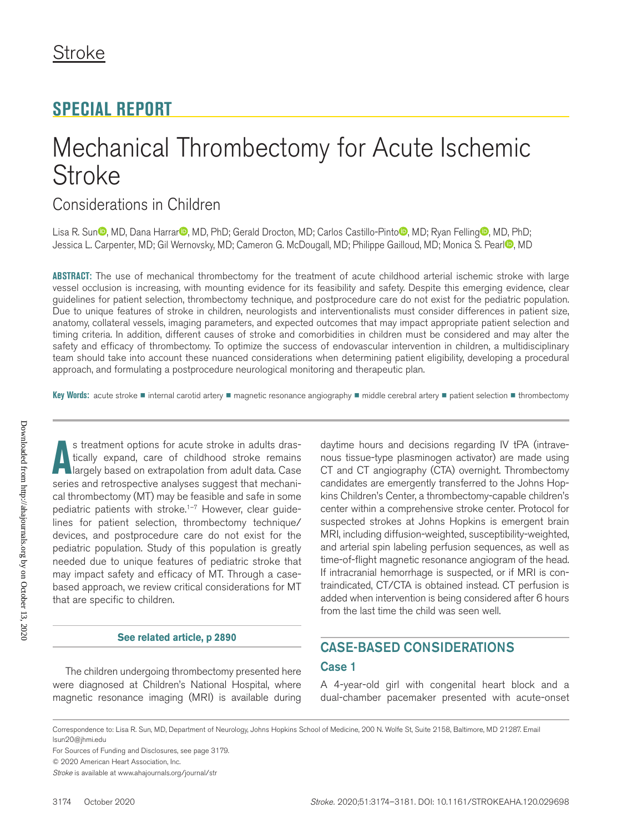# **SPECIAL REPORT**

# Mechanical Thrombectomy for Acute Ischemic Stroke

# Considerations in Children

Lisa R. Su[n](https://orcid.org/0000-0003-4948-0415)<sup>®</sup>, MD, Dana Ha[r](https://orcid.org/0000-0001-6382-8479)rar<sup>®</sup>[,](https://orcid.org/0000-0002-5228-8574) MD, PhD; Gerald Drocton, MD; Carlos Castillo-Pinto<sup>®</sup>, MD; Ryan Fellin[g](https://orcid.org/0000-0002-0845-9356)<sup>®</sup>, MD, PhD; Jessica L. Carpenter, MD; Gi[l](https://orcid.org/0000-0001-9514-8902) Wernovsky, MD; Cameron G. McDougall, MD; Philippe Gailloud, MD; Monica S. Pearl<sup>on</sup>, MD

**ABSTRACT:** The use of mechanical thrombectomy for the treatment of acute childhood arterial ischemic stroke with large vessel occlusion is increasing, with mounting evidence for its feasibility and safety. Despite this emerging evidence, clear guidelines for patient selection, thrombectomy technique, and postprocedure care do not exist for the pediatric population. Due to unique features of stroke in children, neurologists and interventionalists must consider differences in patient size, anatomy, collateral vessels, imaging parameters, and expected outcomes that may impact appropriate patient selection and timing criteria. In addition, different causes of stroke and comorbidities in children must be considered and may alter the safety and efficacy of thrombectomy. To optimize the success of endovascular intervention in children, a multidisciplinary team should take into account these nuanced considerations when determining patient eligibility, developing a procedural approach, and formulating a postprocedure neurological monitoring and therapeutic plan.

**Key Words:** acute stroke ◼ internal carotid artery ◼ magnetic resonance angiography ◼ middle cerebral artery ◼ patient selection ◼ thrombectomy

s treatment options for acute stroke in adults drastically expand, care of childhood stroke remains largely based on extrapolation from adult data. Case series and retrospective analyses suggest that mechanis treatment options for acute stroke in adults drastically expand, care of childhood stroke remains **largely based on extrapolation from adult data. Case** cal thrombectomy (MT) may be feasible and safe in some pediatric patients with stroke.<sup>1-7</sup> However, clear guidelines for patient selection, thrombectomy technique/ devices, and postprocedure care do not exist for the pediatric population. Study of this population is greatly needed due to unique features of pediatric stroke that may impact safety and efficacy of MT. Through a casebased approach, we review critical considerations for MT that are specific to children.

#### **[See related article, p 2890](https://www.ahajournals.org/journal/str/10.1161/STROKEAHA.120.032038)**

The children undergoing thrombectomy presented here were diagnosed at Children's National Hospital, where magnetic resonance imaging (MRI) is available during daytime hours and decisions regarding IV tPA (intravenous tissue-type plasminogen activator) are made using CT and CT angiography (CTA) overnight. Thrombectomy candidates are emergently transferred to the Johns Hopkins Children's Center, a thrombectomy-capable children's center within a comprehensive stroke center. Protocol for suspected strokes at Johns Hopkins is emergent brain MRI, including diffusion-weighted, susceptibility-weighted, and arterial spin labeling perfusion sequences, as well as time-of-flight magnetic resonance angiogram of the head. If intracranial hemorrhage is suspected, or if MRI is contraindicated, CT/CTA is obtained instead. CT perfusion is added when intervention is being considered after 6 hours from the last time the child was seen well.

## CASE-BASED CONSIDERATIONS

#### Case 1

A 4-year-old girl with congenital heart block and a dual-chamber pacemaker presented with acute-onset

Correspondence to: Lisa R. Sun, MD, Department of Neurology, Johns Hopkins School of Medicine, 200 N. Wolfe St, Suite 2158, Baltimore, MD 21287. Email [lsun20@jhmi.edu](mailto:lsun20@jhmi.edu)

For Sources of Funding and Disclosures, see page 3179.

© 2020 American Heart Association, Inc.

*Stroke* is available at www.ahajournals.org/journal/str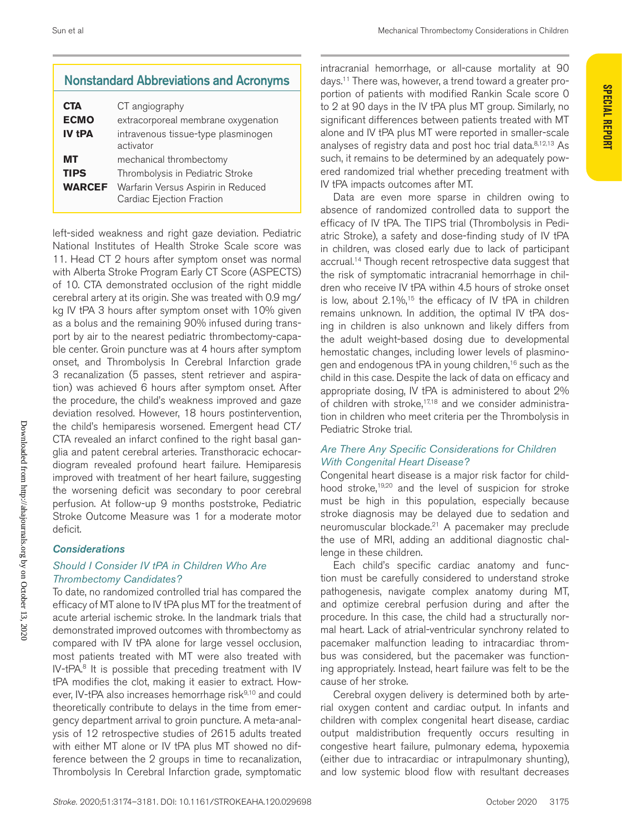**Special Report**

**SPECIAL REPORT** 

## Nonstandard Abbreviations and Acronyms

| CTA<br><b>ECMO</b><br><b>IV tPA</b> | CT angiography<br>extracorporeal membrane oxygenation<br>intravenous tissue-type plasminogen<br>activator                      |
|-------------------------------------|--------------------------------------------------------------------------------------------------------------------------------|
| мт<br><b>TIPS</b><br><b>WARCEF</b>  | mechanical thrombectomy<br>Thrombolysis in Pediatric Stroke<br>Warfarin Versus Aspirin in Reduced<br>Cardiac Ejection Fraction |

left-sided weakness and right gaze deviation. Pediatric National Institutes of Health Stroke Scale score was 11. Head CT 2 hours after symptom onset was normal with Alberta Stroke Program Early CT Score (ASPECTS) of 10. CTA demonstrated occlusion of the right middle cerebral artery at its origin. She was treated with 0.9 mg/ kg IV tPA 3 hours after symptom onset with 10% given as a bolus and the remaining 90% infused during transport by air to the nearest pediatric thrombectomy-capable center. Groin puncture was at 4 hours after symptom onset, and Thrombolysis In Cerebral Infarction grade 3 recanalization (5 passes, stent retriever and aspiration) was achieved 6 hours after symptom onset. After the procedure, the child's weakness improved and gaze deviation resolved. However, 18 hours postintervention, the child's hemiparesis worsened. Emergent head CT/ CTA revealed an infarct confined to the right basal ganglia and patent cerebral arteries. Transthoracic echocardiogram revealed profound heart failure. Hemiparesis improved with treatment of her heart failure, suggesting the worsening deficit was secondary to poor cerebral perfusion. At follow-up 9 months poststroke, Pediatric Stroke Outcome Measure was 1 for a moderate motor deficit.

#### *Considerations*

#### *Should I Consider IV tPA in Children Who Are Thrombectomy Candidates?*

To date, no randomized controlled trial has compared the efficacy of MT alone to IV tPA plus MT for the treatment of acute arterial ischemic stroke. In the landmark trials that demonstrated improved outcomes with thrombectomy as compared with IV tPA alone for large vessel occlusion, most patients treated with MT were also treated with IV-tPA $<sup>8</sup>$  It is possible that preceding treatment with IV</sup> tPA modifies the clot, making it easier to extract. However, IV-tPA also increases hemorrhage risk<sup>9,10</sup> and could theoretically contribute to delays in the time from emergency department arrival to groin puncture. A meta-analysis of 12 retrospective studies of 2615 adults treated with either MT alone or IV tPA plus MT showed no difference between the 2 groups in time to recanalization, Thrombolysis In Cerebral Infarction grade, symptomatic

intracranial hemorrhage, or all-cause mortality at 90 days.11 There was, however, a trend toward a greater proportion of patients with modified Rankin Scale score 0 to 2 at 90 days in the IV tPA plus MT group. Similarly, no significant differences between patients treated with MT alone and IV tPA plus MT were reported in smaller-scale analyses of registry data and post hoc trial data.8,12,13 As such, it remains to be determined by an adequately powered randomized trial whether preceding treatment with IV tPA impacts outcomes after MT.

Data are even more sparse in children owing to absence of randomized controlled data to support the efficacy of IV tPA. The TIPS trial (Thrombolysis in Pediatric Stroke), a safety and dose-finding study of IV tPA in children, was closed early due to lack of participant accrual.<sup>14</sup> Though recent retrospective data suggest that the risk of symptomatic intracranial hemorrhage in children who receive IV tPA within 4.5 hours of stroke onset is low, about  $2.1\%$ ,<sup>15</sup> the efficacy of IV tPA in children remains unknown. In addition, the optimal IV tPA dosing in children is also unknown and likely differs from the adult weight-based dosing due to developmental hemostatic changes, including lower levels of plasminogen and endogenous tPA in young children,<sup>16</sup> such as the child in this case. Despite the lack of data on efficacy and appropriate dosing, IV tPA is administered to about 2% of children with stroke,<sup>17,18</sup> and we consider administration in children who meet criteria per the Thrombolysis in Pediatric Stroke trial.

#### *Are There Any Specific Considerations for Children With Congenital Heart Disease?*

Congenital heart disease is a major risk factor for childhood stroke,<sup>19,20</sup> and the level of suspicion for stroke must be high in this population, especially because stroke diagnosis may be delayed due to sedation and neuromuscular blockade.21 A pacemaker may preclude the use of MRI, adding an additional diagnostic challenge in these children.

Each child's specific cardiac anatomy and function must be carefully considered to understand stroke pathogenesis, navigate complex anatomy during MT, and optimize cerebral perfusion during and after the procedure. In this case, the child had a structurally normal heart. Lack of atrial-ventricular synchrony related to pacemaker malfunction leading to intracardiac thrombus was considered, but the pacemaker was functioning appropriately. Instead, heart failure was felt to be the cause of her stroke.

Cerebral oxygen delivery is determined both by arterial oxygen content and cardiac output. In infants and children with complex congenital heart disease, cardiac output maldistribution frequently occurs resulting in congestive heart failure, pulmonary edema, hypoxemia (either due to intracardiac or intrapulmonary shunting), and low systemic blood flow with resultant decreases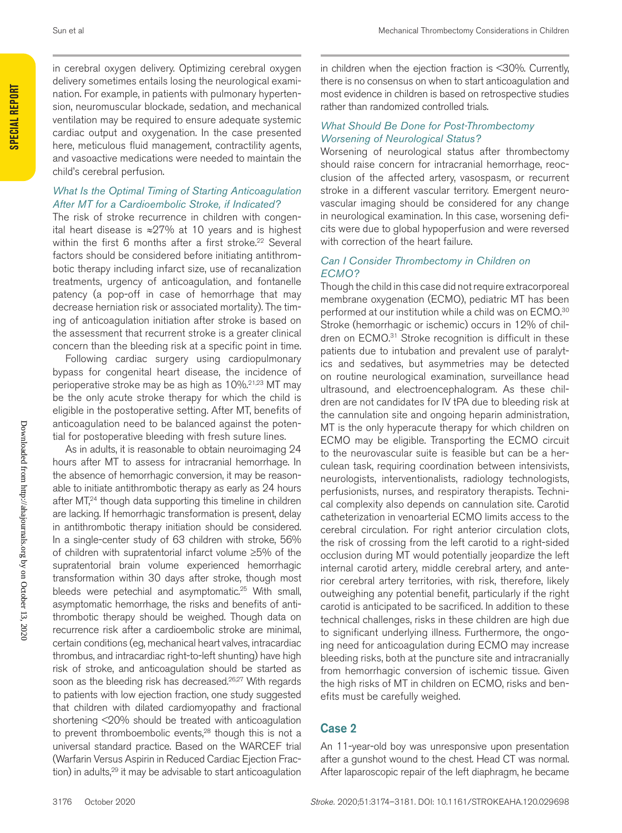**Special Report**

SPECIAL REPORT

in cerebral oxygen delivery. Optimizing cerebral oxygen delivery sometimes entails losing the neurological examination. For example, in patients with pulmonary hypertension, neuromuscular blockade, sedation, and mechanical ventilation may be required to ensure adequate systemic cardiac output and oxygenation. In the case presented here, meticulous fluid management, contractility agents, and vasoactive medications were needed to maintain the child's cerebral perfusion.

#### *What Is the Optimal Timing of Starting Anticoagulation After MT for a Cardioembolic Stroke, if Indicated?*

The risk of stroke recurrence in children with congenital heart disease is ≈27% at 10 years and is highest within the first 6 months after a first stroke.<sup>22</sup> Several factors should be considered before initiating antithrombotic therapy including infarct size, use of recanalization treatments, urgency of anticoagulation, and fontanelle patency (a pop-off in case of hemorrhage that may decrease herniation risk or associated mortality). The timing of anticoagulation initiation after stroke is based on the assessment that recurrent stroke is a greater clinical concern than the bleeding risk at a specific point in time.

Following cardiac surgery using cardiopulmonary bypass for congenital heart disease, the incidence of perioperative stroke may be as high as 10%.<sup>21,23</sup> MT may be the only acute stroke therapy for which the child is eligible in the postoperative setting. After MT, benefits of anticoagulation need to be balanced against the potential for postoperative bleeding with fresh suture lines.

As in adults, it is reasonable to obtain neuroimaging 24 hours after MT to assess for intracranial hemorrhage. In the absence of hemorrhagic conversion, it may be reasonable to initiate antithrombotic therapy as early as 24 hours after MT,<sup>24</sup> though data supporting this timeline in children are lacking. If hemorrhagic transformation is present, delay in antithrombotic therapy initiation should be considered. In a single-center study of 63 children with stroke, 56% of children with supratentorial infarct volume ≥5% of the supratentorial brain volume experienced hemorrhagic transformation within 30 days after stroke, though most bleeds were petechial and asymptomatic.<sup>25</sup> With small, asymptomatic hemorrhage, the risks and benefits of antithrombotic therapy should be weighed. Though data on recurrence risk after a cardioembolic stroke are minimal, certain conditions (eg, mechanical heart valves, intracardiac thrombus, and intracardiac right-to-left shunting) have high risk of stroke, and anticoagulation should be started as soon as the bleeding risk has decreased.<sup>26,27</sup> With regards to patients with low ejection fraction, one study suggested that children with dilated cardiomyopathy and fractional shortening <20% should be treated with anticoagulation to prevent thromboembolic events,<sup>28</sup> though this is not a universal standard practice. Based on the WARCEF trial (Warfarin Versus Aspirin in Reduced Cardiac Ejection Fraction) in adults,<sup>29</sup> it may be advisable to start anticoagulation

in children when the ejection fraction is <30%. Currently, there is no consensus on when to start anticoagulation and most evidence in children is based on retrospective studies rather than randomized controlled trials.

#### *What Should Be Done for Post-Thrombectomy Worsening of Neurological Status?*

Worsening of neurological status after thrombectomy should raise concern for intracranial hemorrhage, reocclusion of the affected artery, vasospasm, or recurrent stroke in a different vascular territory. Emergent neurovascular imaging should be considered for any change in neurological examination. In this case, worsening deficits were due to global hypoperfusion and were reversed with correction of the heart failure.

#### *Can I Consider Thrombectomy in Children on ECMO?*

Though the child in this case did not require extracorporeal membrane oxygenation (ECMO), pediatric MT has been performed at our institution while a child was on ECMO.30 Stroke (hemorrhagic or ischemic) occurs in 12% of children on ECMO.<sup>31</sup> Stroke recognition is difficult in these patients due to intubation and prevalent use of paralytics and sedatives, but asymmetries may be detected on routine neurological examination, surveillance head ultrasound, and electroencephalogram. As these children are not candidates for IV tPA due to bleeding risk at the cannulation site and ongoing heparin administration, MT is the only hyperacute therapy for which children on ECMO may be eligible. Transporting the ECMO circuit to the neurovascular suite is feasible but can be a herculean task, requiring coordination between intensivists, neurologists, interventionalists, radiology technologists, perfusionists, nurses, and respiratory therapists. Technical complexity also depends on cannulation site. Carotid catheterization in venoarterial ECMO limits access to the cerebral circulation. For right anterior circulation clots, the risk of crossing from the left carotid to a right-sided occlusion during MT would potentially jeopardize the left internal carotid artery, middle cerebral artery, and anterior cerebral artery territories, with risk, therefore, likely outweighing any potential benefit, particularly if the right carotid is anticipated to be sacrificed. In addition to these technical challenges, risks in these children are high due to significant underlying illness. Furthermore, the ongoing need for anticoagulation during ECMO may increase bleeding risks, both at the puncture site and intracranially from hemorrhagic conversion of ischemic tissue. Given the high risks of MT in children on ECMO, risks and benefits must be carefully weighed.

### Case 2

An 11-year-old boy was unresponsive upon presentation after a gunshot wound to the chest. Head CT was normal. After laparoscopic repair of the left diaphragm, he became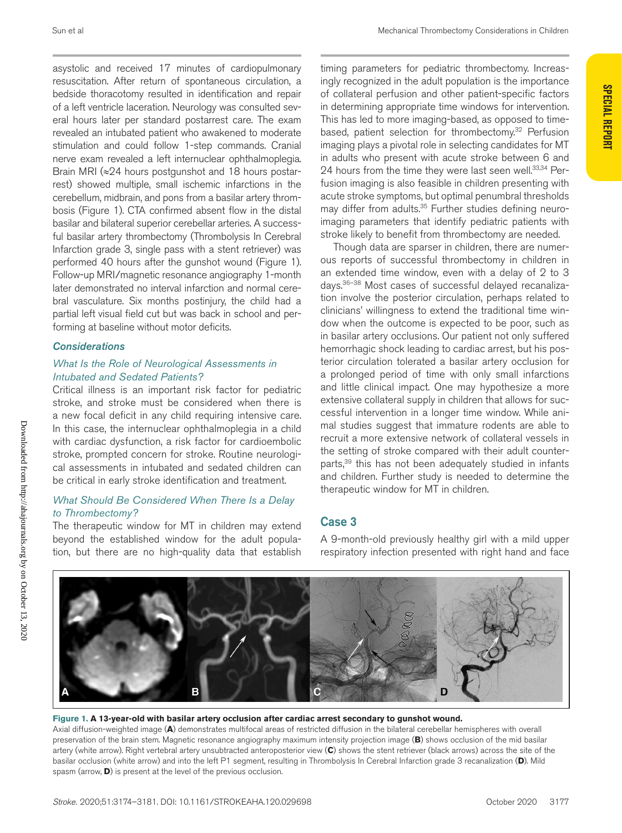asystolic and received 17 minutes of cardiopulmonary resuscitation. After return of spontaneous circulation, a bedside thoracotomy resulted in identification and repair of a left ventricle laceration. Neurology was consulted several hours later per standard postarrest care. The exam revealed an intubated patient who awakened to moderate stimulation and could follow 1-step commands. Cranial nerve exam revealed a left internuclear ophthalmoplegia. Brain MRI (≈24 hours postgunshot and 18 hours postarrest) showed multiple, small ischemic infarctions in the cerebellum, midbrain, and pons from a basilar artery thrombosis (Figure 1). CTA confirmed absent flow in the distal basilar and bilateral superior cerebellar arteries. A successful basilar artery thrombectomy (Thrombolysis In Cerebral Infarction grade 3, single pass with a stent retriever) was performed 40 hours after the gunshot wound (Figure 1). Follow-up MRI/magnetic resonance angiography 1-month later demonstrated no interval infarction and normal cerebral vasculature. Six months postinjury, the child had a partial left visual field cut but was back in school and performing at baseline without motor deficits.

#### *Considerations*

#### *What Is the Role of Neurological Assessments in Intubated and Sedated Patients?*

Critical illness is an important risk factor for pediatric stroke, and stroke must be considered when there is a new focal deficit in any child requiring intensive care. In this case, the internuclear ophthalmoplegia in a child with cardiac dysfunction, a risk factor for cardioembolic stroke, prompted concern for stroke. Routine neurological assessments in intubated and sedated children can be critical in early stroke identification and treatment.

#### *What Should Be Considered When There Is a Delay to Thrombectomy?*

The therapeutic window for MT in children may extend beyond the established window for the adult population, but there are no high-quality data that establish

timing parameters for pediatric thrombectomy. Increasingly recognized in the adult population is the importance of collateral perfusion and other patient-specific factors in determining appropriate time windows for intervention. This has led to more imaging-based, as opposed to timebased, patient selection for thrombectomy.<sup>32</sup> Perfusion imaging plays a pivotal role in selecting candidates for MT in adults who present with acute stroke between 6 and 24 hours from the time they were last seen well.<sup>33,34</sup> Perfusion imaging is also feasible in children presenting with acute stroke symptoms, but optimal penumbral thresholds may differ from adults.<sup>35</sup> Further studies defining neuroimaging parameters that identify pediatric patients with stroke likely to benefit from thrombectomy are needed.

Though data are sparser in children, there are numerous reports of successful thrombectomy in children in an extended time window, even with a delay of 2 to 3 days.36–38 Most cases of successful delayed recanalization involve the posterior circulation, perhaps related to clinicians' willingness to extend the traditional time window when the outcome is expected to be poor, such as in basilar artery occlusions. Our patient not only suffered hemorrhagic shock leading to cardiac arrest, but his posterior circulation tolerated a basilar artery occlusion for a prolonged period of time with only small infarctions and little clinical impact. One may hypothesize a more extensive collateral supply in children that allows for successful intervention in a longer time window. While animal studies suggest that immature rodents are able to recruit a more extensive network of collateral vessels in the setting of stroke compared with their adult counterparts,<sup>39</sup> this has not been adequately studied in infants and children. Further study is needed to determine the therapeutic window for MT in children.

#### Case 3

A 9-month-old previously healthy girl with a mild upper respiratory infection presented with right hand and face



#### **Figure 1. A 13-year-old with basilar artery occlusion after cardiac arrest secondary to gunshot wound.** Axial diffusion-weighted image (**A**) demonstrates multifocal areas of restricted diffusion in the bilateral cerebellar hemispheres with overall preservation of the brain stem. Magnetic resonance angiography maximum intensity projection image (**B**) shows occlusion of the mid basilar artery (white arrow). Right vertebral artery unsubtracted anteroposterior view (**C**) shows the stent retriever (black arrows) across the site of the basilar occlusion (white arrow) and into the left P1 segment, resulting in Thrombolysis In Cerebral Infarction grade 3 recanalization (**D**). Mild spasm (arrow, **D**) is present at the level of the previous occlusion.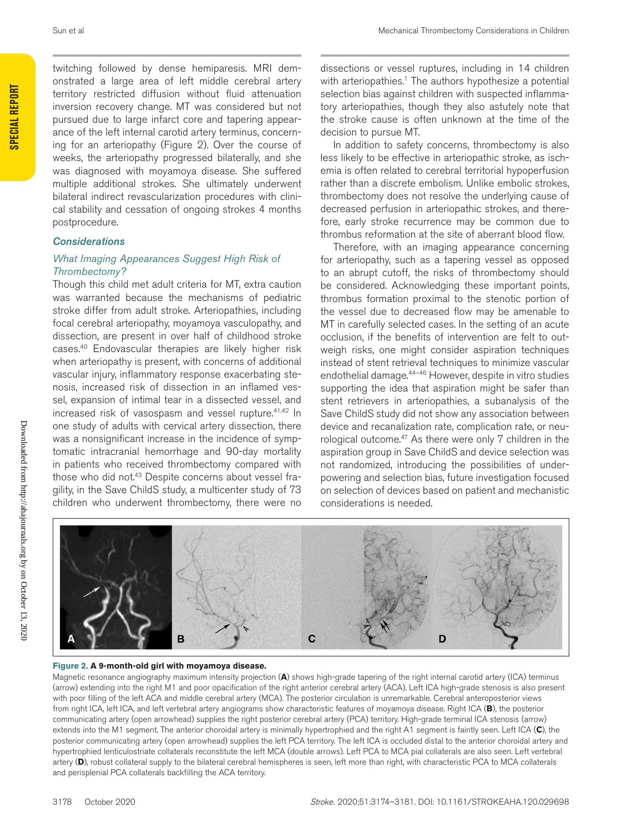twitching followed by dense hemiparesis. MRI demonstrated a large area of left middle cerebral artery territory restricted diffusion without fluid attenuation inversion recovery change. MT was considered but not pursued due to large infarct core and tapering appearance of the left internal carotid artery terminus, concerning for an arteriopathy (Figure 2). Over the course of weeks, the arteriopathy progressed bilaterally, and she was diagnosed with moyamoya disease. She suffered multiple additional strokes. She ultimately underwent bilateral indirect revascularization procedures with clinical stability and cessation of ongoing strokes 4 months postprocedure.

#### *Considerations*

#### *What Imaging Appearances Suggest High Risk of Thrombectomy?*

Though this child met adult criteria for MT, extra caution was warranted because the mechanisms of pediatric stroke differ from adult stroke. Arteriopathies, including focal cerebral arteriopathy, moyamoya vasculopathy, and dissection, are present in over half of childhood stroke cases.40 Endovascular therapies are likely higher risk when arteriopathy is present, with concerns of additional vascular injury, inflammatory response exacerbating stenosis, increased risk of dissection in an inflamed vessel, expansion of intimal tear in a dissected vessel, and increased risk of vasospasm and vessel rupture.41,42 In one study of adults with cervical artery dissection, there was a nonsignificant increase in the incidence of symptomatic intracranial hemorrhage and 90-day mortality in patients who received thrombectomy compared with those who did not.<sup>43</sup> Despite concerns about vessel fragility, in the Save ChildS study, a multicenter study of 73 children who underwent thrombectomy, there were no dissections or vessel ruptures, including in 14 children with arteriopathies.<sup>1</sup> The authors hypothesize a potential selection bias against children with suspected inflammatory arteriopathies, though they also astutely note that the stroke cause is often unknown at the time of the decision to pursue MT.

In addition to safety concerns, thrombectomy is also less likely to be effective in arteriopathic stroke, as ischemia is often related to cerebral territorial hypoperfusion rather than a discrete embolism. Unlike embolic strokes, thrombectomy does not resolve the underlying cause of decreased perfusion in arteriopathic strokes, and therefore, early stroke recurrence may be common due to thrombus reformation at the site of aberrant blood flow.

Therefore, with an imaging appearance concerning for arteriopathy, such as a tapering vessel as opposed to an abrupt cutoff, the risks of thrombectomy should be considered. Acknowledging these important points, thrombus formation proximal to the stenotic portion of the vessel due to decreased flow may be amenable to MT in carefully selected cases. In the setting of an acute occlusion, if the benefits of intervention are felt to outweigh risks, one might consider aspiration techniques instead of stent retrieval techniques to minimize vascular endothelial damage.44–46 However, despite in vitro studies supporting the idea that aspiration might be safer than stent retrievers in arteriopathies, a subanalysis of the Save ChildS study did not show any association between device and recanalization rate, complication rate, or neurological outcome.<sup>47</sup> As there were only 7 children in the aspiration group in Save ChildS and device selection was not randomized, introducing the possibilities of underpowering and selection bias, future investigation focused on selection of devices based on patient and mechanistic considerations is needed.



#### **Figure 2. A 9-month-old girl with moyamoya disease.**

Magnetic resonance angiography maximum intensity projection (**A**) shows high-grade tapering of the right internal carotid artery (ICA) terminus (arrow) extending into the right M1 and poor opacification of the right anterior cerebral artery (ACA). Left ICA high-grade stenosis is also present with poor filling of the left ACA and middle cerebral artery (MCA). The posterior circulation is unremarkable. Cerebral anteroposterior views from right ICA, left ICA, and left vertebral artery angiograms show characteristic features of moyamoya disease. Right ICA (**B**), the posterior communicating artery (open arrowhead) supplies the right posterior cerebral artery (PCA) territory. High-grade terminal ICA stenosis (arrow) extends into the M1 segment. The anterior choroidal artery is minimally hypertrophied and the right A1 segment is faintly seen. Left ICA (**C**), the posterior communicating artery (open arrowhead) supplies the left PCA territory. The left ICA is occluded distal to the anterior choroidal artery and hypertrophied lenticulostriate collaterals reconstitute the left MCA (double arrows). Left PCA to MCA pial collaterals are also seen. Left vertebral artery (D), robust collateral supply to the bilateral cerebral hemispheres is seen, left more than right, with characteristic PCA to MCA collaterals and perisplenial PCA collaterals backfilling the ACA territory.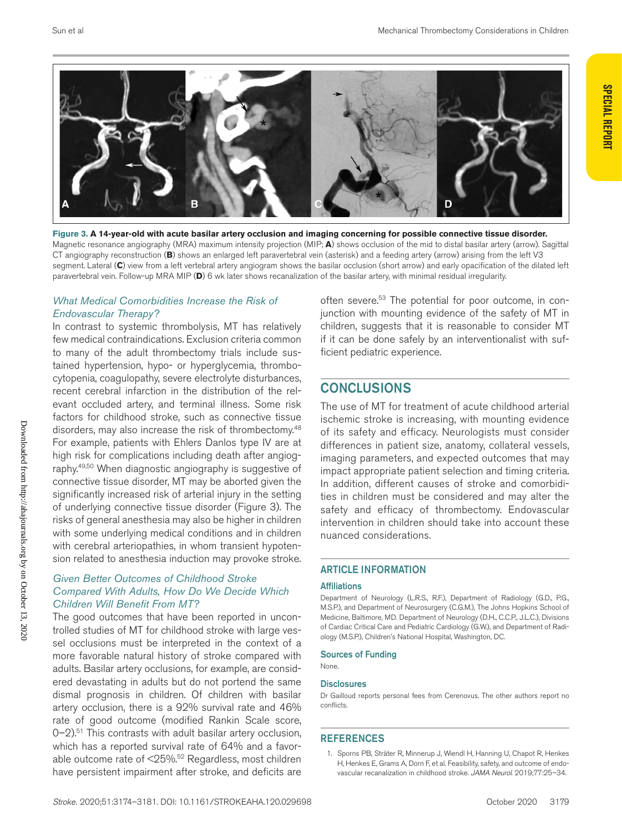

**Figure 3. A 14-year-old with acute basilar artery occlusion and imaging concerning for possible connective tissue disorder.** Magnetic resonance angiography (MRA) maximum intensity projection (MIP; **A**) shows occlusion of the mid to distal basilar artery (arrow). Sagittal CT angiography reconstruction (**B**) shows an enlarged left paravertebral vein (asterisk) and a feeding artery (arrow) arising from the left V3 segment. Lateral (**C**) view from a left vertebral artery angiogram shows the basilar occlusion (short arrow) and early opacification of the dilated left paravertebral vein. Follow-up MRA MIP (**D**) 6 wk later shows recanalization of the basilar artery, with minimal residual irregularity.

#### *What Medical Comorbidities Increase the Risk of Endovascular Therapy?*

In contrast to systemic thrombolysis, MT has relatively few medical contraindications. Exclusion criteria common to many of the adult thrombectomy trials include sustained hypertension, hypo- or hyperglycemia, thrombocytopenia, coagulopathy, severe electrolyte disturbances, recent cerebral infarction in the distribution of the relevant occluded artery, and terminal illness. Some risk factors for childhood stroke, such as connective tissue disorders, may also increase the risk of thrombectomy.<sup>48</sup> For example, patients with Ehlers Danlos type IV are at high risk for complications including death after angiography.49,50 When diagnostic angiography is suggestive of connective tissue disorder, MT may be aborted given the significantly increased risk of arterial injury in the setting of underlying connective tissue disorder (Figure 3). The risks of general anesthesia may also be higher in children with some underlying medical conditions and in children with cerebral arteriopathies, in whom transient hypotension related to anesthesia induction may provoke stroke.

#### *Given Better Outcomes of Childhood Stroke Compared With Adults, How Do We Decide Which Children Will Benefit From MT?*

The good outcomes that have been reported in uncontrolled studies of MT for childhood stroke with large vessel occlusions must be interpreted in the context of a more favorable natural history of stroke compared with adults. Basilar artery occlusions, for example, are considered devastating in adults but do not portend the same dismal prognosis in children. Of children with basilar artery occlusion, there is a 92% survival rate and 46% rate of good outcome (modified Rankin Scale score,  $0-2$ ).<sup>51</sup> This contrasts with adult basilar artery occlusion, which has a reported survival rate of 64% and a favorable outcome rate of <25%.52 Regardless, most children have persistent impairment after stroke, and deficits are

often severe.<sup>53</sup> The potential for poor outcome, in conjunction with mounting evidence of the safety of MT in children, suggests that it is reasonable to consider MT if it can be done safely by an interventionalist with sufficient pediatric experience.

# **CONCLUSIONS**

The use of MT for treatment of acute childhood arterial ischemic stroke is increasing, with mounting evidence of its safety and efficacy. Neurologists must consider differences in patient size, anatomy, collateral vessels, imaging parameters, and expected outcomes that may impact appropriate patient selection and timing criteria. In addition, different causes of stroke and comorbidities in children must be considered and may alter the safety and efficacy of thrombectomy. Endovascular intervention in children should take into account these nuanced considerations.

#### ARTICLE INFORMATION

#### Affiliations

Department of Neurology (L.R.S., R.F.), Department of Radiology (G.D., P.G., M.S.P.), and Department of Neurosurgery (C.G.M.), The Johns Hopkins School of Medicine, Baltimore, MD. Department of Neurology (D.H., C.C.P., J.L.C.), Divisions of Cardiac Critical Care and Pediatric Cardiology (G.W.), and Department of Radiology (M.S.P.), Children's National Hospital, Washington, DC.

#### Sources of Funding

None.

#### **Disclosures**

Dr Gailloud reports personal fees from Cerenovus. The other authors report no conflicts.

#### **REFERENCES**

1. Sporns PB, Sträter R, Minnerup J, Wiendl H, Hanning U, Chapot R, Henkes H, Henkes E, Grams A, Dorn F, et al. Feasibility, safety, and outcome of endovascular recanalization in childhood stroke. *JAMA Neurol*. 2019;77:25–34.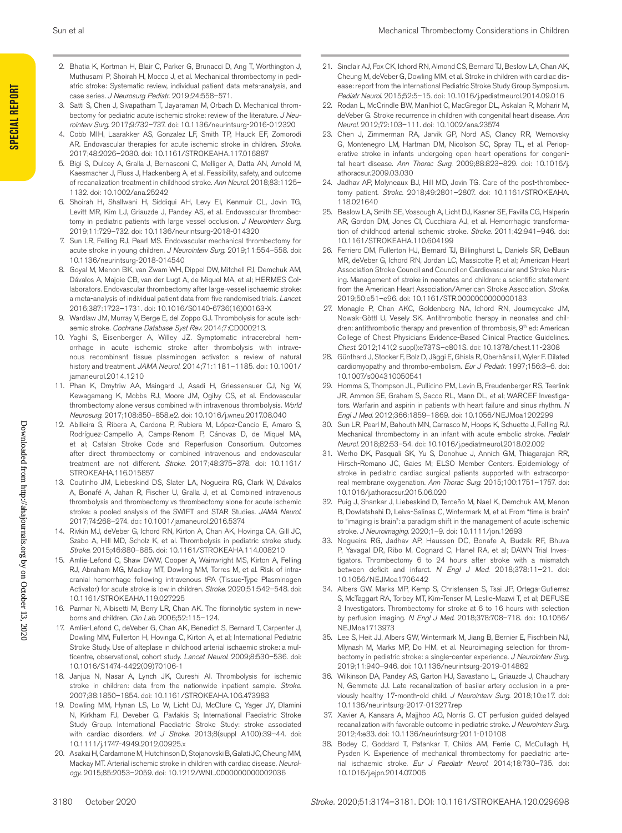- 2. Bhatia K, Kortman H, Blair C, Parker G, Brunacci D, Ang T, Worthington J, Muthusami P, Shoirah H, Mocco J, et al. Mechanical thrombectomy in pediatric stroke: Systematic review, individual patient data meta-analysis, and case series. *J Neurosurg Pediatr*. 2019;24:558–571.
	- Satti S, Chen J, Sivapatham T, Jayaraman M, Orbach D. Mechanical thrombectomy for pediatric acute ischemic stroke: review of the literature. *J Neurointerv Surg*. 2017;9:732–737. doi: 10.1136/neurintsurg-2016-012320
	- 4. Cobb MIH, Laarakker AS, Gonzalez LF, Smith TP, Hauck EF, Zomorodi AR. Endovascular therapies for acute ischemic stroke in children. *Stroke*. 2017;48:2026–2030. doi: 10.1161/STROKEAHA.117.016887
	- 5. Bigi S, Dulcey A, Gralla J, Bernasconi C, Melliger A, Datta AN, Arnold M, Kaesmacher J, Fluss J, Hackenberg A, et al. Feasibility, safety, and outcome of recanalization treatment in childhood stroke. *Ann Neurol*. 2018;83:1125– 1132. doi: 10.1002/ana.25242
	- 6. Shoirah H, Shallwani H, Siddiqui AH, Levy EI, Kenmuir CL, Jovin TG, Levitt MR, Kim LJ, Griauzde J, Pandey AS, et al. Endovascular thrombectomy in pediatric patients with large vessel occlusion. *J Neurointerv Surg*. 2019;11:729–732. doi: 10.1136/neurintsurg-2018-014320
	- 7. Sun LR, Felling RJ, Pearl MS. Endovascular mechanical thrombectomy for acute stroke in young children. *J Neurointerv Surg*. 2019;11:554–558. doi: 10.1136/neurintsurg-2018-014540
	- 8. Goyal M, Menon BK, van Zwam WH, Dippel DW, Mitchell PJ, Demchuk AM, Dávalos A, Majoie CB, van der Lugt A, de Miquel MA, et al; HERMES Collaborators. Endovascular thrombectomy after large-vessel ischaemic stroke: a meta-analysis of individual patient data from five randomised trials. *Lancet*. 2016;387:1723–1731. doi: 10.1016/S0140-6736(16)00163-X
	- 9. Wardlaw JM, Murray V, Berge E, del Zoppo GJ. Thrombolysis for acute ischaemic stroke. *Cochrane Database Syst Rev*. 2014;7:CD000213.
- 10. Yaghi S, Eisenberger A, Willey JZ. Symptomatic intracerebral hemorrhage in acute ischemic stroke after thrombolysis with intravenous recombinant tissue plasminogen activator: a review of natural history and treatment. *JAMA Neurol*. 2014;71:1181–1185. doi: 10.1001/ iamaneurol.2014.1210
- 11. Phan K, Dmytriw AA, Maingard J, Asadi H, Griessenauer CJ, Ng W, Kewagamang K, Mobbs RJ, Moore JM, Ogilvy CS, et al. Endovascular thrombectomy alone versus combined with intravenous thrombolysis. *World Neurosurg*. 2017;108:850–858.e2. doi: 10.1016/j.wneu.2017.08.040
- 12. Abilleira S, Ribera A, Cardona P, Rubiera M, López-Cancio E, Amaro S, Rodríguez-Campello A, Camps-Renom P, Cánovas D, de Miquel MA, et al; Catalan Stroke Code and Reperfusion Consortium. Outcomes after direct thrombectomy or combined intravenous and endovascular treatment are not different. *Stroke*. 2017;48:375–378. doi: 10.1161/ STROKEAHA.116.015857
- 13. Coutinho JM, Liebeskind DS, Slater LA, Nogueira RG, Clark W, Dávalos A, Bonafé A, Jahan R, Fischer U, Gralla J, et al. Combined intravenous thrombolysis and thrombectomy vs thrombectomy alone for acute ischemic stroke: a pooled analysis of the SWIFT and STAR Studies. *JAMA Neurol*. 2017;74:268–274. doi: 10.1001/jamaneurol.2016.5374
- 14. Rivkin MJ, deVeber G, Ichord RN, Kirton A, Chan AK, Hovinga CA, Gill JC, Szabo A, Hill MD, Scholz K, et al. Thrombolysis in pediatric stroke study. *Stroke*. 2015;46:880–885. doi: 10.1161/STROKEAHA.114.008210
- 15. Amlie-Lefond C, Shaw DWW, Cooper A, Wainwright MS, Kirton A, Felling RJ, Abraham MG, Mackay MT, Dowling MM, Torres M, et al. Risk of intracranial hemorrhage following intravenous tPA (Tissue-Type Plasminogen Activator) for acute stroke is low in children. *Stroke*. 2020;51:542–548. doi: 10.1161/STROKEAHA.119.027225
- 16. Parmar N, Albisetti M, Berry LR, Chan AK. The fibrinolytic system in newborns and children. *Clin Lab*. 2006;52:115–124.
- 17. Amlie-Lefond C, deVeber G, Chan AK, Benedict S, Bernard T, Carpenter J, Dowling MM, Fullerton H, Hovinga C, Kirton A, et al; International Pediatric Stroke Study. Use of alteplase in childhood arterial ischaemic stroke: a multicentre, observational, cohort study. *Lancet Neurol*. 2009;8:530–536. doi: 10.1016/S1474-4422(09)70106-1
- 18. Janjua N, Nasar A, Lynch JK, Qureshi AI. Thrombolysis for ischemic stroke in children: data from the nationwide inpatient sample. *Stroke*. 2007;38:1850–1854. doi: 10.1161/STROKEAHA.106.473983
- 19. Dowling MM, Hynan LS, Lo W, Licht DJ, McClure C, Yager JY, Dlamini N, Kirkham FJ, Deveber G, Pavlakis S; International Paediatric Stroke Study Group. International Paediatric Stroke Study: stroke associated with cardiac disorders. *Int J Stroke*. 2013;8(suppl A100):39–44. doi: 10.1111/j.1747-4949.2012.00925.x
- 20. Asakai H, Cardamone M, Hutchinson D, Stojanovski B, Galati JC, Cheung MM, Mackay MT. Arterial ischemic stroke in children with cardiac disease. *Neurology*. 2015;85:2053–2059. doi: 10.1212/WNL.0000000000002036
- 21. Sinclair AJ, Fox CK, Ichord RN, Almond CS, Bernard TJ, Beslow LA, Chan AK, Cheung M, deVeber G, Dowling MM, et al. Stroke in children with cardiac disease: report from the International Pediatric Stroke Study Group Symposium. *Pediatr Neurol*. 2015;52:5–15. doi: 10.1016/j.pediatrneurol.2014.09.016
- 22. Rodan L, McCrindle BW, Manlhiot C, MacGregor DL, Askalan R, Moharir M, deVeber G. Stroke recurrence in children with congenital heart disease. *Ann Neurol*. 2012;72:103–111. doi: 10.1002/ana.23574
- 23. Chen J, Zimmerman RA, Jarvik GP, Nord AS, Clancy RR, Wernovsky G, Montenegro LM, Hartman DM, Nicolson SC, Spray TL, et al. Perioperative stroke in infants undergoing open heart operations for congenital heart disease. *Ann Thorac Surg*. 2009;88:823–829. doi: 10.1016/j. athoracsur.2009.03.030
- 24. Jadhav AP, Molyneaux BJ, Hill MD, Jovin TG. Care of the post-thrombectomy patient. *Stroke*. 2018;49:2801–2807. doi: 10.1161/STROKEAHA. 118.021640
- 25. Beslow LA, Smith SE, Vossough A, Licht DJ, Kasner SE, Favilla CG, Halperin AR, Gordon DM, Jones CI, Cucchiara AJ, et al. Hemorrhagic transformation of childhood arterial ischemic stroke. *Stroke*. 2011;42:941–946. doi: 10.1161/STROKEAHA.110.604199
- 26. Ferriero DM, Fullerton HJ, Bernard TJ, Billinghurst L, Daniels SR, DeBaun MR, deVeber G, Ichord RN, Jordan LC, Massicotte P, et al; American Heart Association Stroke Council and Council on Cardiovascular and Stroke Nursing. Management of stroke in neonates and children: a scientific statement from the American Heart Association/American Stroke Association. *Stroke*. 2019;50:e51–e96. doi: 10.1161/STR.0000000000000183
- 27. Monagle P, Chan AKC, Goldenberg NA, Ichord RN, Journeycake JM, Nowak-Göttl U, Vesely SK. Antithrombotic therapy in neonates and children: antithrombotic therapy and prevention of thrombosis, 9<sup>th</sup> ed: American College of Chest Physicians Evidence-Based Clinical Practice Guidelines. *Chest*. 2012;141(2 suppl):e737S–e801S. doi: 10.1378/chest.11-2308
- 28. Günthard J, Stocker F, Bolz D, Jäggi E, Ghisla R, Oberhänsli I, Wyler F. Dilated cardiomyopathy and thrombo-embolism. *Eur J Pediatr*. 1997;156:3–6. doi: 10.1007/s004310050541
- 29. Homma S, Thompson JL, Pullicino PM, Levin B, Freudenberger RS, Teerlink JR, Ammon SE, Graham S, Sacco RL, Mann DL, et al; WARCEF Investigators. Warfarin and aspirin in patients with heart failure and sinus rhythm. *N Engl J Med*. 2012;366:1859–1869. doi: 10.1056/NEJMoa1202299
- 30. Sun LR, Pearl M, Bahouth MN, Carrasco M, Hoops K, Schuette J, Felling RJ. Mechanical thrombectomy in an infant with acute embolic stroke. *Pediatr Neurol*. 2018;82:53–54. doi: 10.1016/j.pediatrneurol.2018.02.002
- 31. Werho DK, Pasquali SK, Yu S, Donohue J, Annich GM, Thiagarajan RR, Hirsch-Romano JC, Gaies M; ELSO Member Centers. Epidemiology of stroke in pediatric cardiac surgical patients supported with extracorporeal membrane oxygenation. *Ann Thorac Surg*. 2015;100:1751–1757. doi: 10.1016/j.athoracsur.2015.06.020
- 32. Puig J, Shankar J, Liebeskind D, Terceño M, Nael K, Demchuk AM, Menon B, Dowlatshahi D, Leiva-Salinas C, Wintermark M, et al. From "time is brain" to "imaging is brain": a paradigm shift in the management of acute ischemic stroke. *J Neuroimaging*. 2020;1–9. doi: 10.1111/jon.12693
- 33. Nogueira RG, Jadhav AP, Haussen DC, Bonafe A, Budzik RF, Bhuva P, Yavagal DR, Ribo M, Cognard C, Hanel RA, et al; DAWN Trial Investigators. Thrombectomy 6 to 24 hours after stroke with a mismatch between deficit and infarct. *N Engl J Med*. 2018;378:11–21. doi: 10.1056/NEJMoa1706442
- 34. Albers GW, Marks MP, Kemp S, Christensen S, Tsai JP, Ortega-Gutierrez S, McTaggart RA, Torbey MT, Kim-Tenser M, Leslie-Mazwi T, et al; DEFUSE 3 Investigators. Thrombectomy for stroke at 6 to 16 hours with selection by perfusion imaging. *N Engl J Med*. 2018;378:708–718. doi: 10.1056/ NEJMoa1713973
- 35. Lee S, Heit JJ, Albers GW, Wintermark M, Jiang B, Bernier E, Fischbein NJ, Mlynash M, Marks MP, Do HM, et al. Neuroimaging selection for thrombectomy in pediatric stroke: a single-center experience. *J Neurointerv Surg*. 2019;11:940–946. doi: 10.1136/neurintsurg-2019-014862
- 36. Wilkinson DA, Pandey AS, Garton HJ, Savastano L, Griauzde J, Chaudhary N, Gemmete JJ. Late recanalization of basilar artery occlusion in a previously healthy 17-month-old child. *J Neurointerv Surg*. 2018;10:e17. doi: 10.1136/neurintsurg-2017-013277.rep
- 37. Xavier A, Kansara A, Majjhoo AQ, Norris G. CT perfusion guided delayed recanalization with favorable outcome in pediatric stroke. *J Neurointerv Surg*. 2012;4:e33. doi: 10.1136/neurintsurg-2011-010108
- 38. Bodey C, Goddard T, Patankar T, Childs AM, Ferrie C, McCullagh H, Pysden K. Experience of mechanical thrombectomy for paediatric arterial ischaemic stroke. *Eur J Paediatr Neurol*. 2014;18:730–735. doi: 10.1016/j.ejpn.2014.07.006

Downloaded from http://ahajournals.org by on October 13, 2020

Downloaded from http://ahajournals.org by on October 13, 2020